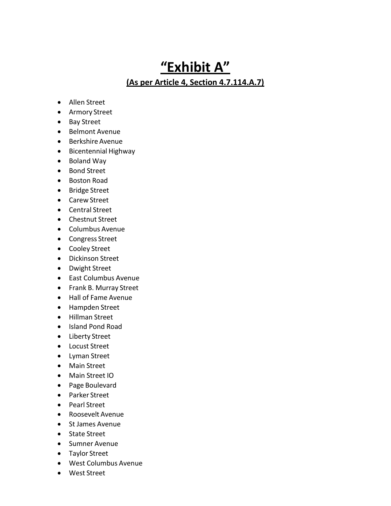## **"Exhibit A"**

**(As per Article 4, Section 4.7.114.A.7)**

- Allen Street
- Armory Street
- Bay Street
- Belmont Avenue
- Berkshire Avenue
- Bicentennial Highway
- Boland Way
- Bond Street
- Boston Road
- Bridge Street
- Carew Street
- Central Street
- Chestnut Street
- Columbus Avenue
- Congress Street
- Cooley Street
- Dickinson Street
- Dwight Street
- East Columbus Avenue
- Frank B. Murray Street
- Hall of Fame Avenue
- Hampden Street
- Hillman Street
- Island Pond Road
- Liberty Street
- Locust Street
- Lyman Street
- Main Street
- Main Street IO
- Page Boulevard
- Parker Street
- Pearl Street
- Roosevelt Avenue
- St James Avenue
- State Street
- Sumner Avenue
- Taylor Street
- West Columbus Avenue
- West Street